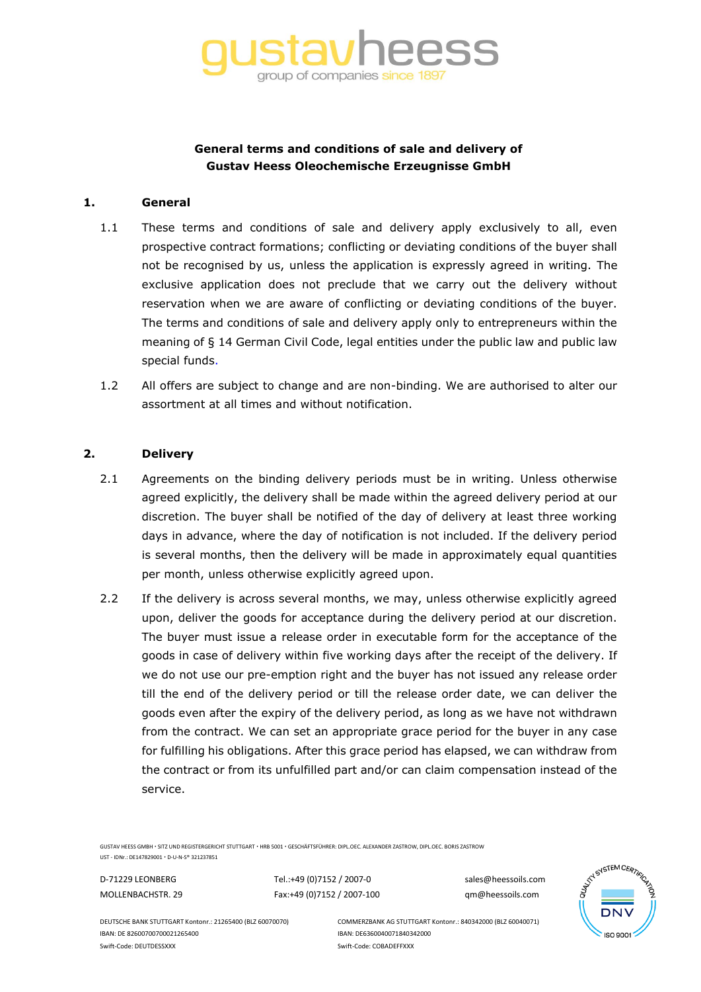

# **General terms and conditions of sale and delivery of Gustav Heess Oleochemische Erzeugnisse GmbH**

#### **1. General**

- 1.1 These terms and conditions of sale and delivery apply exclusively to all, even prospective contract formations; conflicting or deviating conditions of the buyer shall not be recognised by us, unless the application is expressly agreed in writing. The exclusive application does not preclude that we carry out the delivery without reservation when we are aware of conflicting or deviating conditions of the buyer. The terms and conditions of sale and delivery apply only to entrepreneurs within the meaning of § 14 German Civil Code, legal entities under the public law and public law special funds.
- 1.2 All offers are subject to change and are non-binding. We are authorised to alter our assortment at all times and without notification.

#### **2. Delivery**

- 2.1 Agreements on the binding delivery periods must be in writing. Unless otherwise agreed explicitly, the delivery shall be made within the agreed delivery period at our discretion. The buyer shall be notified of the day of delivery at least three working days in advance, where the day of notification is not included. If the delivery period is several months, then the delivery will be made in approximately equal quantities per month, unless otherwise explicitly agreed upon.
- 2.2 If the delivery is across several months, we may, unless otherwise explicitly agreed upon, deliver the goods for acceptance during the delivery period at our discretion. The buyer must issue a release order in executable form for the acceptance of the goods in case of delivery within five working days after the receipt of the delivery. If we do not use our pre-emption right and the buyer has not issued any release order till the end of the delivery period or till the release order date, we can deliver the goods even after the expiry of the delivery period, as long as we have not withdrawn from the contract. We can set an appropriate grace period for the buyer in any case for fulfilling his obligations. After this grace period has elapsed, we can withdraw from the contract or from its unfulfilled part and/or can claim compensation instead of the service.

GUSTAV HEESS GMBH SITZ UND REGISTERGERICHT STUTTGART HRB 5001 GESCHÄFTSFÜHRER: DIPL.OEC. ALEXANDER ZASTROW, DIPL.OEC. BORIS ZASTROW

UST - IDNr.: DE147829001 D-U-N-S® 321237851

D-71229 LEONBERG Tel.:+49 (0)7152 / 2007-0 sales@heessoils.com MOLLENBACHSTR. 29 Fax:+49 (0)7152 / 2007-100 qm@heessoils.com



IBAN: DE 82600700700021265400 IBAN: DE6360040071840342000 Swift-Code: DEUTDESSXXX Swift-Code: COBADEFFXXX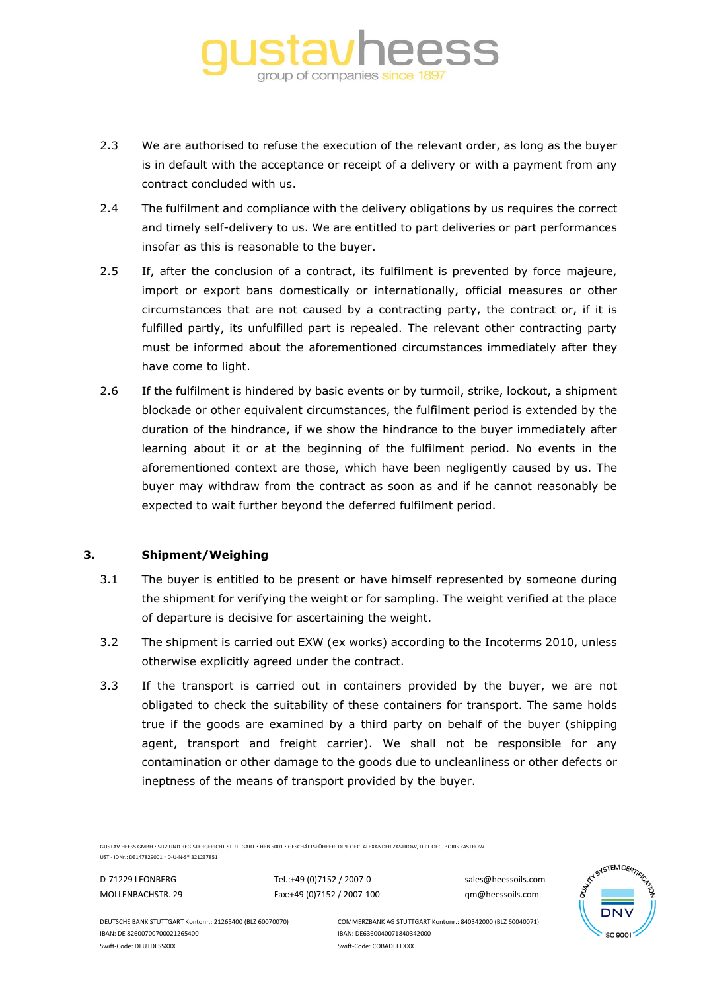

- 2.3 We are authorised to refuse the execution of the relevant order, as long as the buyer is in default with the acceptance or receipt of a delivery or with a payment from any contract concluded with us.
- 2.4 The fulfilment and compliance with the delivery obligations by us requires the correct and timely self-delivery to us. We are entitled to part deliveries or part performances insofar as this is reasonable to the buyer.
- 2.5 If, after the conclusion of a contract, its fulfilment is prevented by force majeure, import or export bans domestically or internationally, official measures or other circumstances that are not caused by a contracting party, the contract or, if it is fulfilled partly, its unfulfilled part is repealed. The relevant other contracting party must be informed about the aforementioned circumstances immediately after they have come to light.
- 2.6 If the fulfilment is hindered by basic events or by turmoil, strike, lockout, a shipment blockade or other equivalent circumstances, the fulfilment period is extended by the duration of the hindrance, if we show the hindrance to the buyer immediately after learning about it or at the beginning of the fulfilment period. No events in the aforementioned context are those, which have been negligently caused by us. The buyer may withdraw from the contract as soon as and if he cannot reasonably be expected to wait further beyond the deferred fulfilment period.

### **3. Shipment/Weighing**

- 3.1 The buyer is entitled to be present or have himself represented by someone during the shipment for verifying the weight or for sampling. The weight verified at the place of departure is decisive for ascertaining the weight.
- 3.2 The shipment is carried out EXW (ex works) according to the Incoterms 2010, unless otherwise explicitly agreed under the contract.
- 3.3 If the transport is carried out in containers provided by the buyer, we are not obligated to check the suitability of these containers for transport. The same holds true if the goods are examined by a third party on behalf of the buyer (shipping agent, transport and freight carrier). We shall not be responsible for any contamination or other damage to the goods due to uncleanliness or other defects or ineptness of the means of transport provided by the buyer.

GUSTAV HEESS GMBH SITZ UND REGISTERGERICHT STUTTGART HRB 5001 GESCHÄFTSFÜHRER: DIPL.OEC. ALEXANDER ZASTROW, DIPL.OEC. BORIS ZASTROW

UST - IDNr.: DE147829001 · D-U-N-S® 321237851

D-71229 LEONBERG Tel.:+49 (0)7152 / 2007-0 sales@heessoils.com MOLLENBACHSTR. 29 Fax:+49 (0)7152 / 2007-100 qm@heessoils.com



IBAN: DE 82600700700021265400 IBAN: DE6360040071840342000 Swift-Code: DEUTDESSXXX Swift-Code: COBADEFFXXX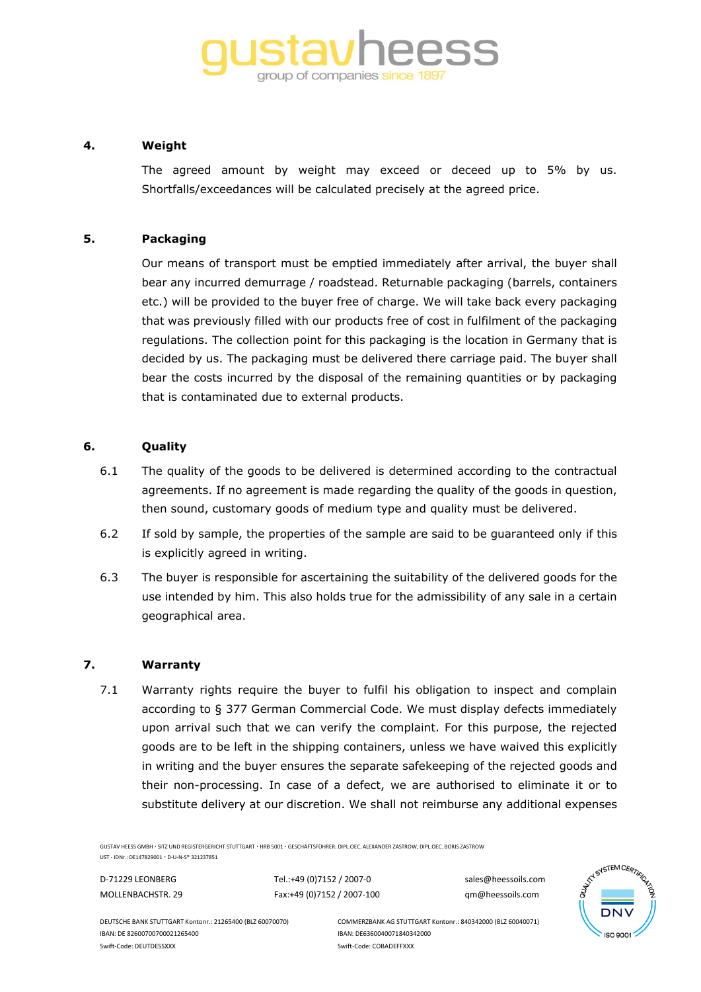# group of companies since 1897

# **4. Weight**

The agreed amount by weight may exceed or deceed up to 5% by us. Shortfalls/exceedances will be calculated precisely at the agreed price.

# **5. Packaging**

Our means of transport must be emptied immediately after arrival, the buyer shall bear any incurred demurrage / roadstead. Returnable packaging (barrels, containers etc.) will be provided to the buyer free of charge. We will take back every packaging that was previously filled with our products free of cost in fulfilment of the packaging regulations. The collection point for this packaging is the location in Germany that is decided by us. The packaging must be delivered there carriage paid. The buyer shall bear the costs incurred by the disposal of the remaining quantities or by packaging that is contaminated due to external products.

# **6. Quality**

- 6.1 The quality of the goods to be delivered is determined according to the contractual agreements. If no agreement is made regarding the quality of the goods in question, then sound, customary goods of medium type and quality must be delivered.
- 6.2 If sold by sample, the properties of the sample are said to be guaranteed only if this is explicitly agreed in writing.
- 6.3 The buyer is responsible for ascertaining the suitability of the delivered goods for the use intended by him. This also holds true for the admissibility of any sale in a certain geographical area.

#### **7. Warranty**

7.1 Warranty rights require the buyer to fulfil his obligation to inspect and complain according to § 377 German Commercial Code. We must display defects immediately upon arrival such that we can verify the complaint. For this purpose, the rejected goods are to be left in the shipping containers, unless we have waived this explicitly in writing and the buyer ensures the separate safekeeping of the rejected goods and their non-processing. In case of a defect, we are authorised to eliminate it or to substitute delivery at our discretion. We shall not reimburse any additional expenses

GUSTAV HEESS GMBH SITZ UND REGISTERGERICHT STUTTGART HRB 5001 GESCHÄFTSFÜHRER: DIPL.OEC. ALEXANDER ZASTROW, DIPL.OEC. BORIS ZASTROW

UST - IDNr.: DE147829001 D-U-N-S® 321237851

D-71229 LEONBERG Tel.:+49 (0)7152 / 2007-0 sales@heessoils.com MOLLENBACHSTR. 29 Fax:+49 (0)7152 / 2007-100 qm@heessoils.com



IBAN: DE 82600700700021265400 IBAN: DE6360040071840342000 Swift-Code: DEUTDESSXXX Swift-Code: COBADEFFXXX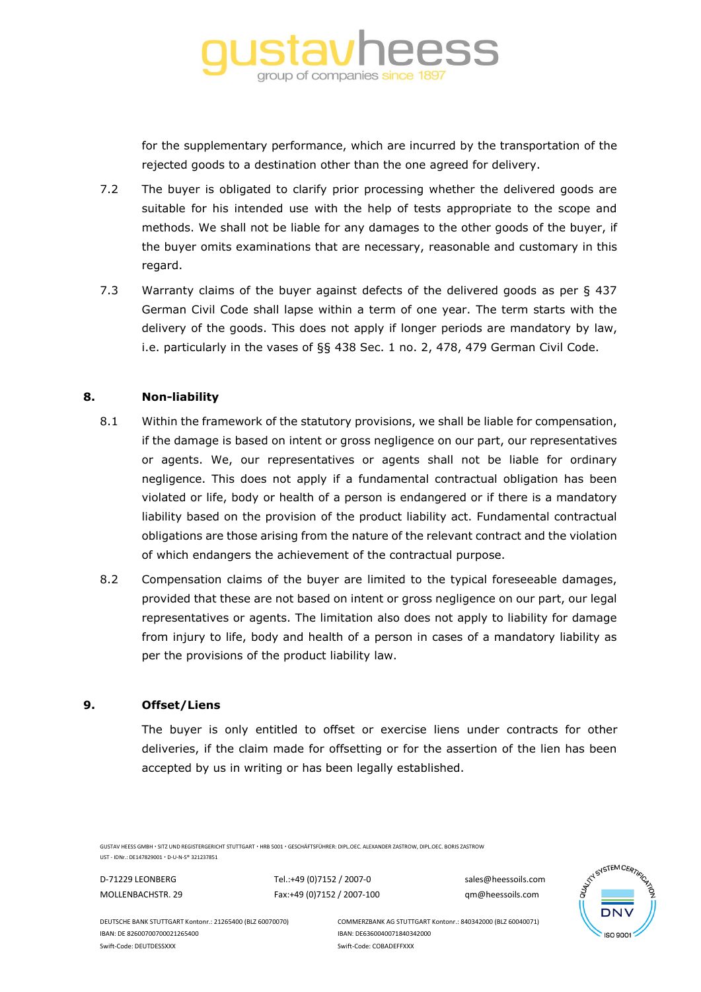

for the supplementary performance, which are incurred by the transportation of the rejected goods to a destination other than the one agreed for delivery.

- 7.2 The buyer is obligated to clarify prior processing whether the delivered goods are suitable for his intended use with the help of tests appropriate to the scope and methods. We shall not be liable for any damages to the other goods of the buyer, if the buyer omits examinations that are necessary, reasonable and customary in this regard.
- 7.3 Warranty claims of the buyer against defects of the delivered goods as per § 437 German Civil Code shall lapse within a term of one year. The term starts with the delivery of the goods. This does not apply if longer periods are mandatory by law, i.e. particularly in the vases of §§ 438 Sec. 1 no. 2, 478, 479 German Civil Code.

# **8. Non-liability**

- 8.1 Within the framework of the statutory provisions, we shall be liable for compensation, if the damage is based on intent or gross negligence on our part, our representatives or agents. We, our representatives or agents shall not be liable for ordinary negligence. This does not apply if a fundamental contractual obligation has been violated or life, body or health of a person is endangered or if there is a mandatory liability based on the provision of the product liability act. Fundamental contractual obligations are those arising from the nature of the relevant contract and the violation of which endangers the achievement of the contractual purpose.
- 8.2 Compensation claims of the buyer are limited to the typical foreseeable damages, provided that these are not based on intent or gross negligence on our part, our legal representatives or agents. The limitation also does not apply to liability for damage from injury to life, body and health of a person in cases of a mandatory liability as per the provisions of the product liability law.

#### **9. Offset/Liens**

The buyer is only entitled to offset or exercise liens under contracts for other deliveries, if the claim made for offsetting or for the assertion of the lien has been accepted by us in writing or has been legally established.

GUSTAV HEESS GMBH SITZ UND REGISTERGERICHT STUTTGART HRB 5001 GESCHÄFTSFÜHRER: DIPL.OEC. ALEXANDER ZASTROW, DIPL.OEC. BORIS ZASTROW

UST - IDNr.: DE147829001 · D-U-N-S® 321237851

D-71229 LEONBERG Tel.:+49 (0)7152 / 2007-0 sales@heessoils.com MOLLENBACHSTR. 29 Fax:+49 (0)7152 / 2007-100 qm@heessoils.com



IBAN: DE 82600700700021265400 IBAN: DE6360040071840342000 Swift-Code: DEUTDESSXXX Swift-Code: COBADEFFXXX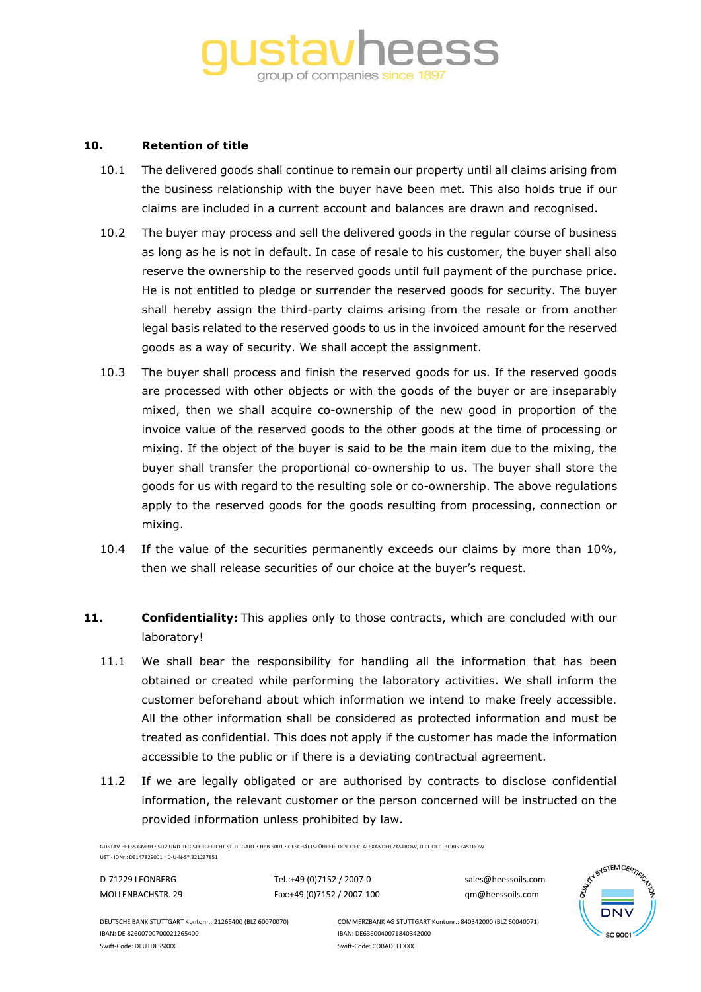# group of companies since 1897

### **10. Retention of title**

- 10.1 The delivered goods shall continue to remain our property until all claims arising from the business relationship with the buyer have been met. This also holds true if our claims are included in a current account and balances are drawn and recognised.
- 10.2 The buyer may process and sell the delivered goods in the regular course of business as long as he is not in default. In case of resale to his customer, the buyer shall also reserve the ownership to the reserved goods until full payment of the purchase price. He is not entitled to pledge or surrender the reserved goods for security. The buyer shall hereby assign the third-party claims arising from the resale or from another legal basis related to the reserved goods to us in the invoiced amount for the reserved goods as a way of security. We shall accept the assignment.
- 10.3 The buyer shall process and finish the reserved goods for us. If the reserved goods are processed with other objects or with the goods of the buyer or are inseparably mixed, then we shall acquire co-ownership of the new good in proportion of the invoice value of the reserved goods to the other goods at the time of processing or mixing. If the object of the buyer is said to be the main item due to the mixing, the buyer shall transfer the proportional co-ownership to us. The buyer shall store the goods for us with regard to the resulting sole or co-ownership. The above regulations apply to the reserved goods for the goods resulting from processing, connection or mixing.
- 10.4 If the value of the securities permanently exceeds our claims by more than 10%, then we shall release securities of our choice at the buyer's request.
- **11. Confidentiality:** This applies only to those contracts, which are concluded with our laboratory!
	- 11.1 We shall bear the responsibility for handling all the information that has been obtained or created while performing the laboratory activities. We shall inform the customer beforehand about which information we intend to make freely accessible. All the other information shall be considered as protected information and must be treated as confidential. This does not apply if the customer has made the information accessible to the public or if there is a deviating contractual agreement.
	- 11.2 If we are legally obligated or are authorised by contracts to disclose confidential information, the relevant customer or the person concerned will be instructed on the provided information unless prohibited by law.

GUSTAV HEESS GMBH SITZ UND REGISTERGERICHT STUTTGART HRB 5001 GESCHÄFTSFÜHRER: DIPL.OEC. ALEXANDER ZASTROW, DIPL.OEC. BORIS ZASTROW

UST - IDNr.: DE147829001 D-U-N-S® 321237851

D-71229 LEONBERG Tel.:+49 (0)7152 / 2007-0 sales@heessoils.com MOLLENBACHSTR. 29 Fax:+49 (0)7152 / 2007-100 qm@heessoils.com



IBAN: DE 82600700700021265400 IBAN: DE6360040071840342000 Swift-Code: DEUTDESSXXX Swift-Code: COBADEFFXXX